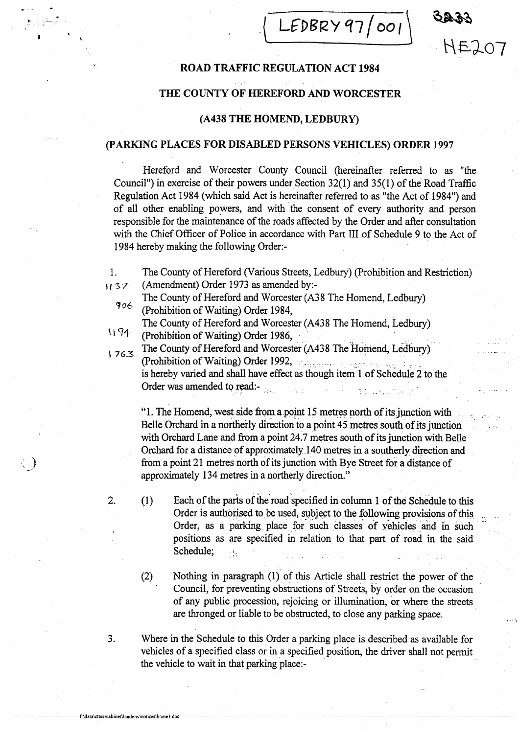$LEDBRY97/001$ 

HE207

# ROAD TRAFFIC REGULATION ACT <sup>1984</sup>

# THE COUNTY OF HEREFORD AND WORCESTER

# (A438 THE HOMEND, LEDBURY)

### (PARKING PLACES FOR DISABLED PERSONS VEHICLES) ORDER <sup>1997</sup>

Hereford and Worcester County Council (hereinafter referred to as "the Council") in exercise of their powers under Section 32(1) and 35(1) of the Road Traffic Regulation Act 1984 (which said Act is hereinafter referred to as "the Act of 1984") and of all other enabling powers, and with the consent of every authority and person responsible for the maintenance of the roads affected by the Order and after consultation with the Chief Officer of Police in accordance with Part III of Schedule 9 to the Act of 1984 hereby making the following Order:-

- 1. The County of Hereford (Various Streets, Ledbury) (Prohibition and Restriction)<br>1137 (Amendment) Order 1973 as amended by:-(Amendment) Order 1973 as amended by:-
	- The County of Hereford and Worcester (A38 The Homend, Ledbury)<br>  $906$  (Prohibition of Waiting) Order 1984,
- The County of Hereford and Worcester (A438 The Homend, Ledbury)  $1174$  (Prohibition of Waiting) Order 1986,
- 1763 The County of Hereford and Worcester (A438 The Homend, Ledbury) (Prohibition of Waiting) Order 1992, is hereby varied and shall have effect as though item 1 of Schedule 2 to the

Order was amended to read:-

f:\data\cttee\cabinet\landenv\notices\homel-doc

أومقوره

"1. The Homend, west side from a point 15 metres north of its junction with Belle Orchard in a northerly direction to a point 45 metres south of its junction with Orchard Lane and from a point 24.7 metres south of its junction with Belle Orchard for a distance of approximately-140 metres in a southerly direction and from <sup>a</sup> point 21 metres north of its junction with Bye Street for a distance of approximately 134 metres in a northerly direction."

 $\label{eq:2.1} \frac{1}{2} \left( \frac{1}{2} \right) \left( \frac{1}{2} \right) \left( \frac{1}{2} \right) \left( \frac{1}{2} \right) \left( \frac{1}{2} \right) \left( \frac{1}{2} \right) \left( \frac{1}{2} \right)$ 

- 2. (1) Each of the parts of the road specified in column 1 of the Schedule to this Order is authorised to be used, subject to the following provisions of this. Order, as a parking place for such classes of vehicles and in such positions as are specified in relation to that part of road in the said, Schedule;
	- (2) Nothing in paragraph (1) of this Article shall restrict the power of the Council, for preventing obstructions of Streets, by order on the occasion of any public procession, rejoicing or illumination, or where the streets are thronged or liable to be obstructed, to close any parking space.
- 3 . Where in the Schedule to this Order a parking place is described as available for vehicles of a specified class or in a specified position, the driver shall not permit the vehicle to wait in that parking place:-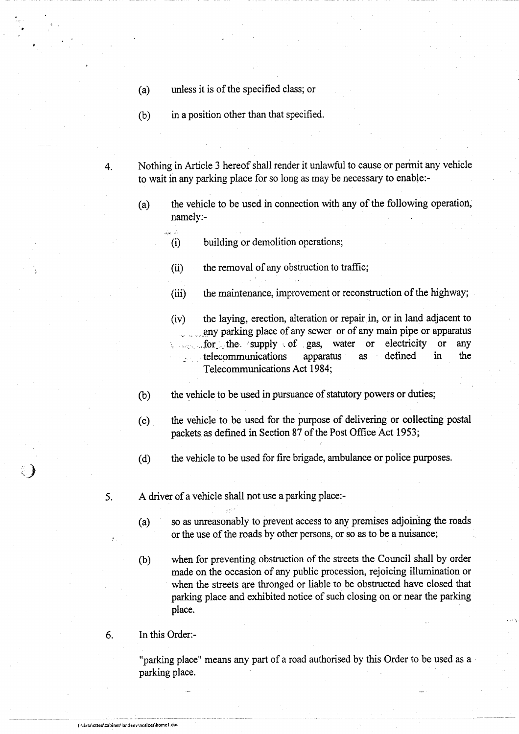- (a) unless it is of the specified class; or
- (b) in <sup>a</sup> position other than that specified.

 $\frac{1}{\sqrt{2}}$ 

4. Nothing in Article <sup>3</sup> hereof shall render it unlawful to cause or permit any vehicle to wait in any parking place for so long as may be necessary to enable:-

- (a) the vehicle to be used in connection with any of the following operation, namely:-
	- (i) building or demolition operations;
	- (ii) the removal of any obstruction to traffic,
	- (iii) the maintenance, improvement or reconstruction of the highway;
	- (iv) the laying, erection, alteration or repair in, or in land adjacent to any parking place of any sewer or of any main pipe or apparatus for the supply of gas, water or electricity or any for the supply of gas, water or electricity or any<br>telecommunications apparatus as defined in the telecommunications apparatus as defined in Telecommunications Act 1984;
- the vehicle to be used in pursuance of statutory powers or duties;  $(b)$
- (c) the vehicle to be used for the purpose of delivering or collecting postal packets as defined in Section 87 of the Post Office Act 1953;
- (d) the vehicle to be used for fire brigade, ambulance or police purposes.
- 5. A driver of a vehicle shall not use a parking place:-
	- (a) so as unreasonably to prevent access to any premises adjoining the roads or the use of the roads by other persons, or so as to be a nuisance;
	- (b) when for preventing obstruction of the streets the Council shall by order made on the occasion of any public procession, rejoicing illumination or when the streets are thronged or liable to be obstructed have closed that parking place and exhibited notice of such closing on or near the parking place.
- 6. In this Order:-

"parking place" means any part of <sup>a</sup> road authorised by this Order to be used as a parking place.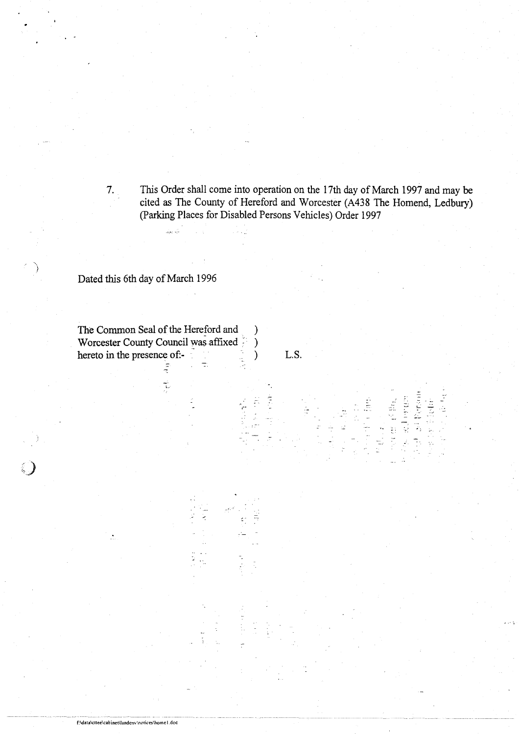7. This Order shall come into operation on the 17th day of March 1997 and may be cited as The County of Hereford and Worcester (A438 The Homend, Ledbury) (Parking Places for Disabled Persons Vehicles) Order 1997

> **SEPTEM** 2000年12

i<br>Editi<br>Editi

# Dated this 6th day of March 1996

f:\data\cttee\cabinet\landcnc\notices\homel doc

The Common Seal of the Hereford and  $\qquad)$ Worcester County Council was affixed  $\qquad$ ) hereto in the presence of  $-$  L.S .

÷

ر<br>جوړې پېړۍ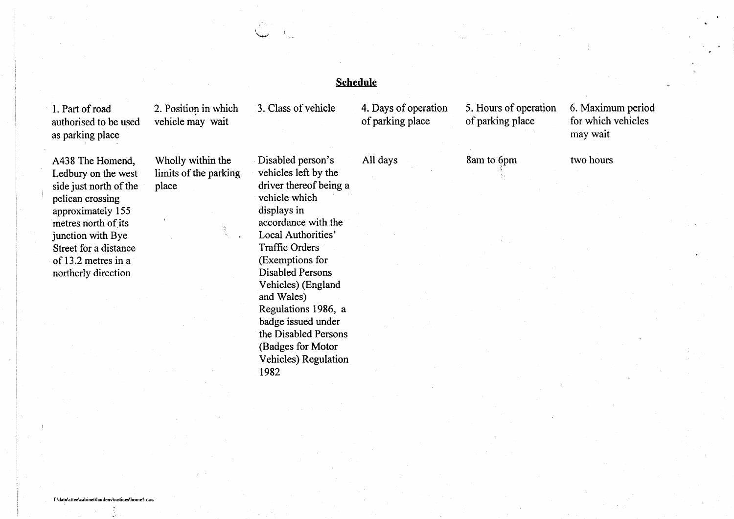<sup>1</sup> . Part of road authorised to be used as parking place

A438 The Homend, Ledbury on the west side just north of the pelican crossing approximately 155 metres north of its junction with Bye Street for a distance of 13 .2 metres in a northerly direction

2. Position in which vehicle may wait

Wholly within the limits of the parking place

Disabled person's vehicles left by the driver thereof being a vehicle which displays in accordance with the Local Authorities' Traffic Orders (Exemptions for Disabled Persons Vehicles) (England and Wales) Regulations 1986, a badge issued under the Disabled Persons (Badges for Motor Vehicles) Regulation 1982

# Schedule

3 . Class of vehicle

of parking place

4. Days of operation 5. Hours of operation 6. Maximum period<br>of parking place of parking place for which vehicles may wait

All days 8am to 6pm two hours

#### f.\data\cttee\cabinet\Iandenv\notieae\homeS .doc